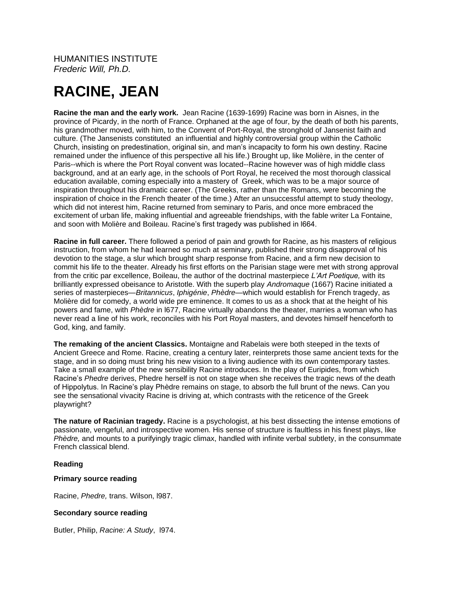HUMANITIES INSTITUTE *Frederic Will, Ph.D.*

# **RACINE, JEAN**

**Racine the man and the early work.** Jean Racine (1639-1699) Racine was born in Aisnes, in the province of Picardy, in the north of France. Orphaned at the age of four, by the death of both his parents, his grandmother moved, with him, to the Convent of Port-Royal, the stronghold of Jansenist faith and culture. (The Jansenists constituted an influential and highly controversial group within the Catholic Church, insisting on predestination, original sin, and man's incapacity to form his own destiny. Racine remained under the influence of this perspective all his life.) Brought up, like Molière, in the center of Paris--which is where the Port Royal convent was located--Racine however was of high middle class background, and at an early age, in the schools of Port Royal, he received the most thorough classical education available, coming especially into a mastery of Greek, which was to be a major source of inspiration throughout his dramatic career. (The Greeks, rather than the Romans, were becoming the inspiration of choice in the French theater of the time.) After an unsuccessful attempt to study theology, which did not interest him, Racine returned from seminary to Paris, and once more embraced the excitement of urban life, making influential and agreeable friendships, with the fable writer La Fontaine, and soon with Molière and Boileau. Racine's first tragedy was published in l664.

**Racine in full career.** There followed a period of pain and growth for Racine, as his masters of religious instruction, from whom he had learned so much at seminary, published their strong disapproval of his devotion to the stage, a slur which brought sharp response from Racine, and a firm new decision to commit his life to the theater. Already his first efforts on the Parisian stage were met with strong approval from the critic par excellence, Boileau, the author of the doctrinal masterpiece *L'Art Poetique,* with its brilliantly expressed obeisance to Aristotle. With the superb play *Andromaque* (1667) Racine initiated a series of masterpieces—*Britannicus*, *Iphigénie*, *Phèdre*—which would establish for French tragedy, as Molière did for comedy, a world wide pre eminence. It comes to us as a shock that at the height of his powers and fame, with *Phèdre* in l677, Racine virtually abandons the theater, marries a woman who has never read a line of his work, reconciles with his Port Royal masters, and devotes himself henceforth to God, king, and family.

**The remaking of the ancient Classics.** Montaigne and Rabelais were both steeped in the texts of Ancient Greece and Rome. Racine, creating a century later, reinterprets those same ancient texts for the stage, and in so doing must bring his new vision to a living audience with its own contemporary tastes. Take a small example of the new sensibility Racine introduces. In the play of Euripides, from which Racine's *Phedre* derives, Phedre herself is not on stage when she receives the tragic news of the death of Hippolytus. In Racine's play Phèdre remains on stage, to absorb the full brunt of the news. Can you see the sensational vivacity Racine is driving at, which contrasts with the reticence of the Greek playwright?

**The nature of Racinian tragedy.** Racine is a psychologist, at his best dissecting the intense emotions of passionate, vengeful, and introspective women. His sense of structure is faultless in his finest plays, like *Phèdre,* and mounts to a purifyingly tragic climax, handled with infinite verbal subtlety, in the consummate French classical blend.

## **Reading**

### **Primary source reading**

Racine, *Phedre,* trans. Wilson, l987.

## **Secondary source reading**

Butler, Philip, *Racine: A Study*, l974.